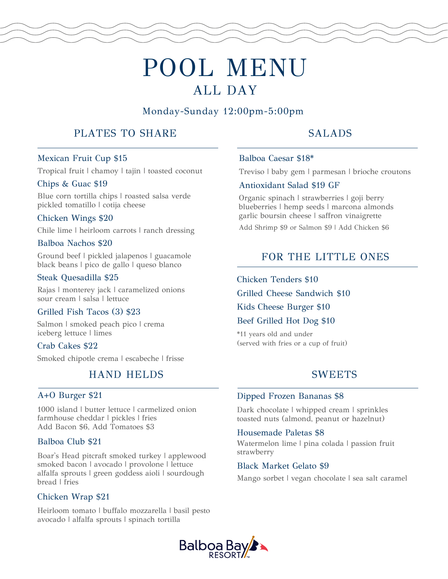# POOL MENU ALL DAY

## Monday-Sunday 12:00pm-5:00pm

## PLATES TO SHARE

# SALADS

## Mexican Fruit Cup \$15

Tropical fruit | chamoy | tajin | toasted coconut

## Chips & Guac \$19

Blue corn tortilla chips | roasted salsa verde pickled tomatillo | cotija cheese

## Chicken Wings \$20

Chile lime | heirloom carrots | ranch dressing

## Balboa Nachos \$20

Ground beef | pickled jalapenos | guacamole black beans | pico de gallo | queso blanco

## Steak Quesadilla \$25 chicken Tenders \$10

Rajas | monterey jack | caramelized onions sour cream | salsa | lettuce

## Grilled Fish Tacos (3) \$23

Salmon | smoked peach pico | crema iceberg lettuce | limes

## Crab Cakes \$22

Smoked chipotle crema | escabeche | frisse

## HAND HELDS

## A+O Burger \$21

1000 island | butter lettuce | carmelized onion farmhouse cheddar | pickles | fries Add Bacon \$6, Add Tomatoes \$3

## Balboa Club \$21

Boar's Head pitcraft smoked turkey | applewood smoked bacon | avocado | provolone | lettuce alfalfa sprouts | green goddess aioli | sourdough bread | fries

## Chicken Wrap \$21

Heirloom tomato | buffalo mozzarella | basil pesto avocado | alfalfa sprouts | spinach tortilla

## Balboa Caesar \$18\*

Treviso | baby gem | parmesan | brioche croutons

## Antioxidant Salad \$19 GF

Organic spinach | strawberries | goji berry blueberries | hemp seeds | marcona almonds garlic boursin cheese | saffron vinaigrette

Add Shrimp \$9 or Salmon \$9 | Add Chicken \$6

## FOR THE LITTLE ONES

Grilled Cheese Sandwich \$10

## Kids Cheese Burger \$10

## Beef Grilled Hot Dog \$10

\*11 years old and under (served with fries or a cup of fruit)

## **SWEETS**

## Dipped Frozen Bananas \$8

Dark chocolate | whipped cream | sprinkles toasted nuts (almond, peanut or hazelnut)

## Housemade Paletas \$8

Watermelon lime | pina colada | passion fruit strawberry

## Black Market Gelato \$9

Mango sorbet | vegan chocolate | sea salt caramel